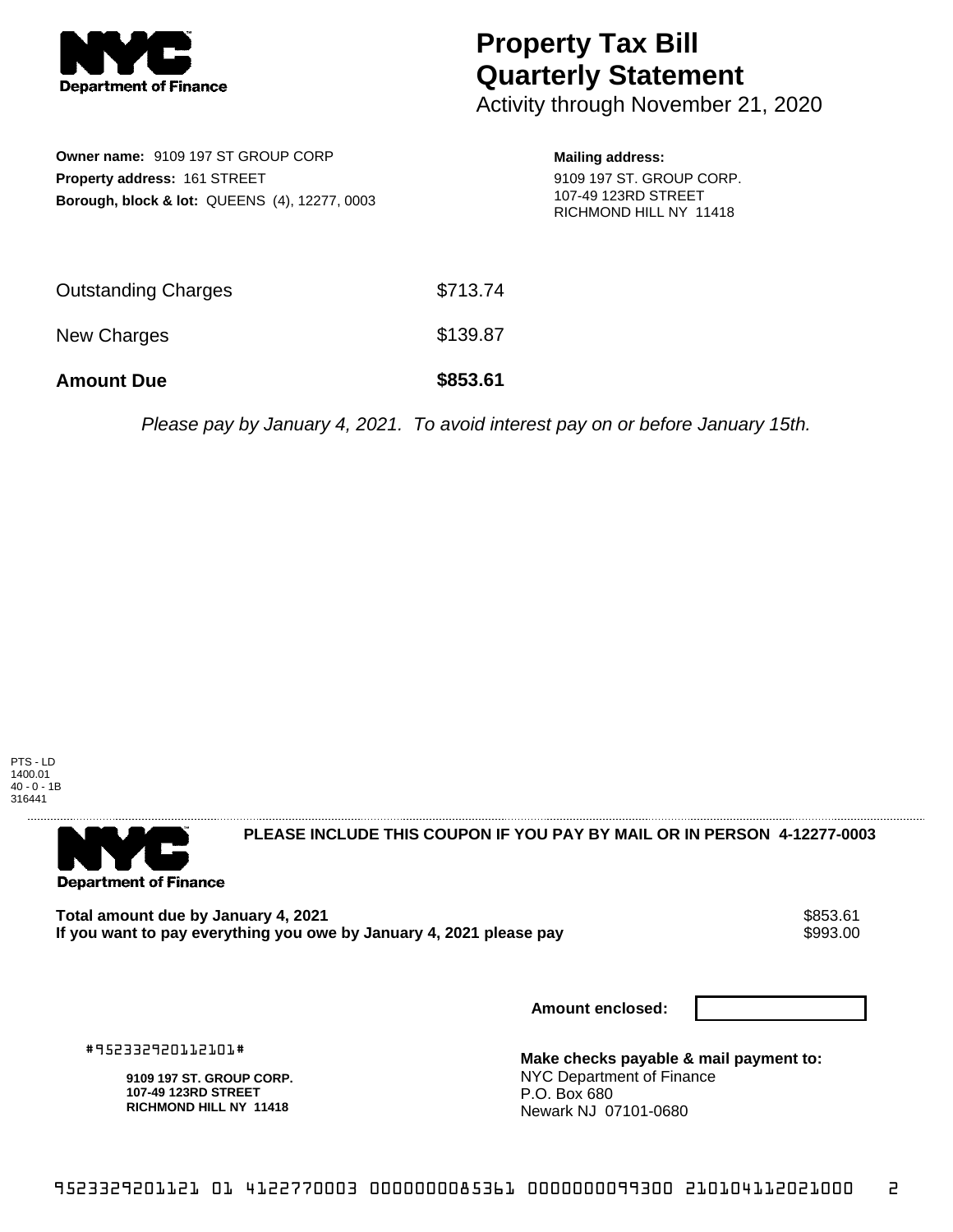

## **Property Tax Bill Quarterly Statement**

Activity through November 21, 2020

| <b>Owner name: 9109 197 ST GROUP CORP</b><br><b>Property address: 161 STREET</b><br><b>Borough, block &amp; lot: QUEENS (4), 12277, 0003</b> |          | <b>Mailing address:</b><br>9109 197 ST. GROUP CORP.<br>107-49 123RD STREET<br>RICHMOND HILL NY 11418 |  |
|----------------------------------------------------------------------------------------------------------------------------------------------|----------|------------------------------------------------------------------------------------------------------|--|
| Outstanding Charges                                                                                                                          | \$713.74 |                                                                                                      |  |

New Charges \$139.87

**Amount Due \$853.61**

Please pay by January 4, 2021. To avoid interest pay on or before January 15th.

PTS - LD 1400.01 40 - 0 - 1B 316441



**PLEASE INCLUDE THIS COUPON IF YOU PAY BY MAIL OR IN PERSON 4-12277-0003** 

**Total amount due by January 4, 2021**<br>If you want to pay everything you owe by January 4, 2021 please pay **show that the summan wave of the se** \$993.00 If you want to pay everything you owe by January 4, 2021 please pay

**Amount enclosed:**

#952332920112101#

**9109 197 ST. GROUP CORP. 107-49 123RD STREET RICHMOND HILL NY 11418**

**Make checks payable & mail payment to:** NYC Department of Finance P.O. Box 680 Newark NJ 07101-0680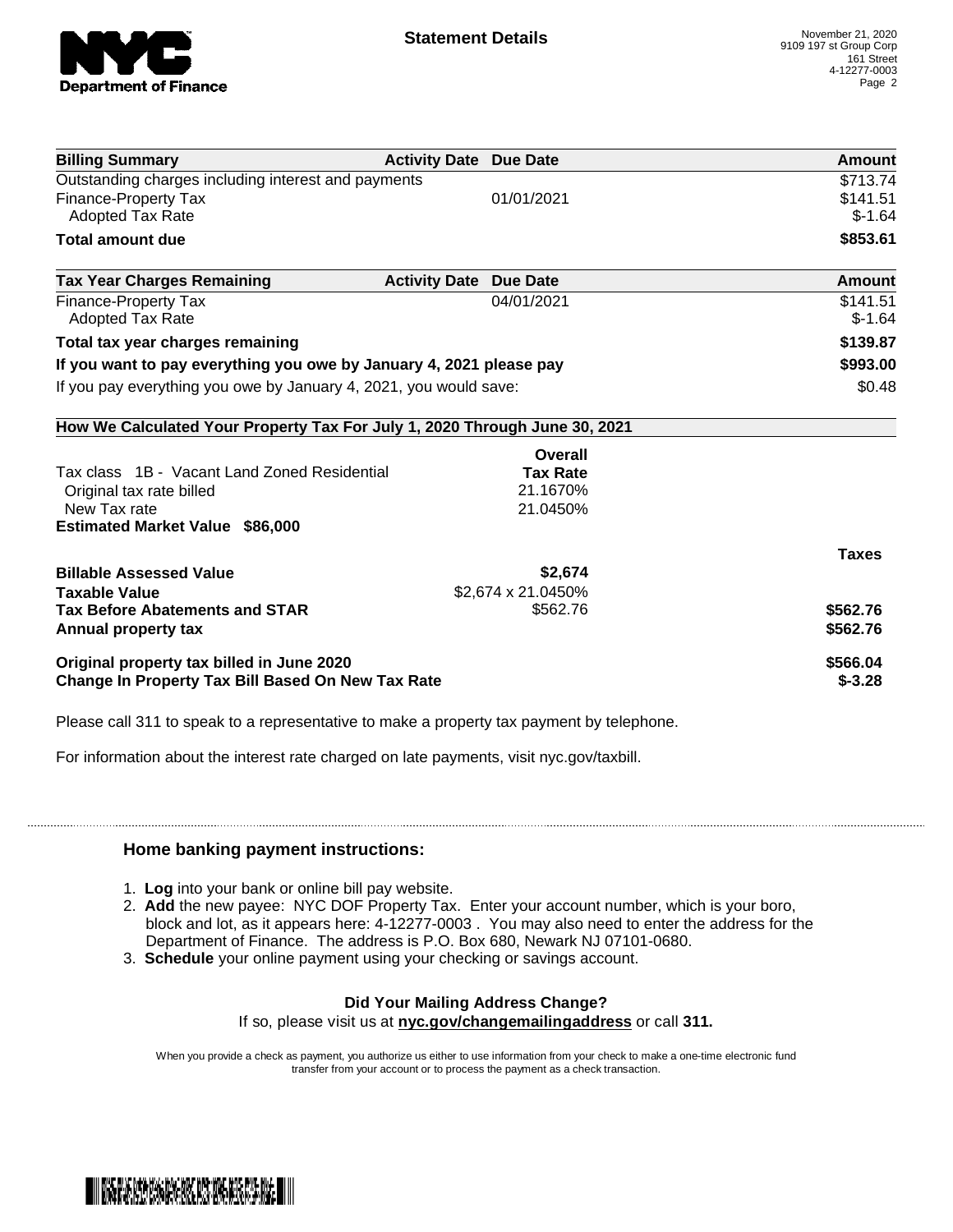

| <b>Billing Summary</b>                                                     | <b>Activity Date Due Date</b>           | Amount       |
|----------------------------------------------------------------------------|-----------------------------------------|--------------|
| Outstanding charges including interest and payments                        |                                         | \$713.74     |
| Finance-Property Tax                                                       | 01/01/2021                              | \$141.51     |
| <b>Adopted Tax Rate</b>                                                    |                                         | $$-1.64$     |
| <b>Total amount due</b>                                                    |                                         | \$853.61     |
| <b>Tax Year Charges Remaining</b>                                          | <b>Activity Date</b><br><b>Due Date</b> | Amount       |
| Finance-Property Tax                                                       | 04/01/2021                              | \$141.51     |
| Adopted Tax Rate                                                           |                                         | $$-1.64$     |
| Total tax year charges remaining                                           |                                         | \$139.87     |
| If you want to pay everything you owe by January 4, 2021 please pay        |                                         | \$993.00     |
| If you pay everything you owe by January 4, 2021, you would save:          |                                         | \$0.48       |
| How We Calculated Your Property Tax For July 1, 2020 Through June 30, 2021 |                                         |              |
|                                                                            | Overall                                 |              |
| Tax class 1B - Vacant Land Zoned Residential                               | <b>Tax Rate</b>                         |              |
| Original tax rate billed                                                   | 21.1670%                                |              |
| New Tax rate                                                               | 21.0450%                                |              |
| <b>Estimated Market Value \$86,000</b>                                     |                                         |              |
|                                                                            |                                         | <b>Taxes</b> |
| <b>Billable Assessed Value</b>                                             | \$2,674                                 |              |
| <b>Taxable Value</b>                                                       | \$2,674 x 21.0450%                      |              |
| <b>Tax Before Abatements and STAR</b>                                      | \$562.76                                | \$562.76     |
| Annual property tax                                                        |                                         | \$562.76     |
| Original property tax billed in June 2020                                  |                                         | \$566.04     |
| <b>Change In Property Tax Bill Based On New Tax Rate</b>                   |                                         | $$-3.28$     |

Please call 311 to speak to a representative to make a property tax payment by telephone.

For information about the interest rate charged on late payments, visit nyc.gov/taxbill.

## **Home banking payment instructions:**

- 1. **Log** into your bank or online bill pay website.
- 2. **Add** the new payee: NYC DOF Property Tax. Enter your account number, which is your boro, block and lot, as it appears here: 4-12277-0003 . You may also need to enter the address for the Department of Finance. The address is P.O. Box 680, Newark NJ 07101-0680.
- 3. **Schedule** your online payment using your checking or savings account.

## **Did Your Mailing Address Change?**

If so, please visit us at **nyc.gov/changemailingaddress** or call **311.**

When you provide a check as payment, you authorize us either to use information from your check to make a one-time electronic fund transfer from your account or to process the payment as a check transaction.